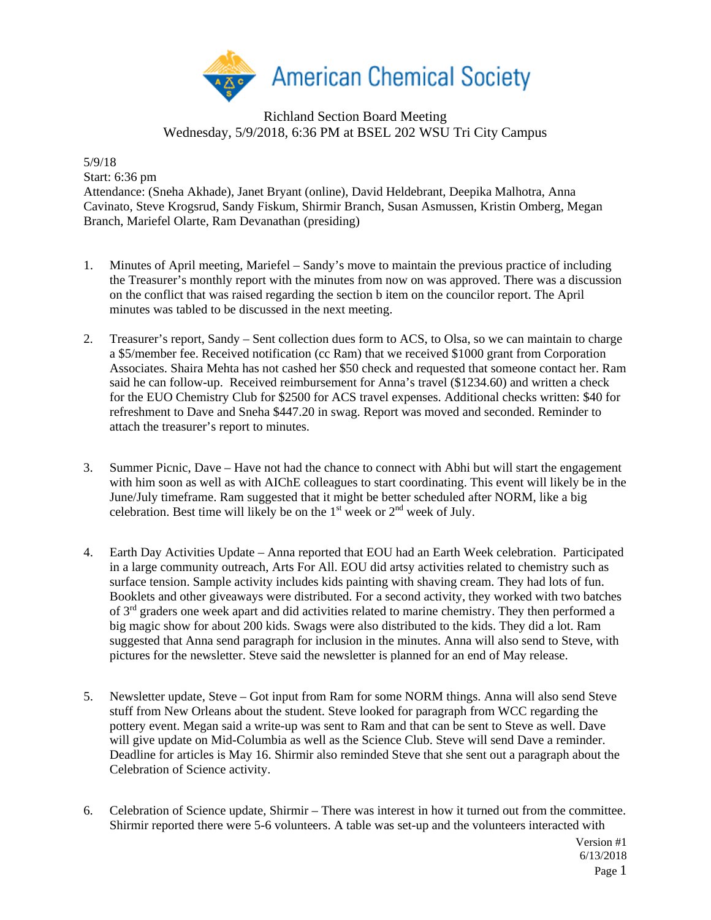

## Richland Section Board Meeting Wednesday, 5/9/2018, 6:36 PM at BSEL 202 WSU Tri City Campus

5/9/18 Start: 6:36 pm

Attendance: (Sneha Akhade), Janet Bryant (online), David Heldebrant, Deepika Malhotra, Anna Cavinato, Steve Krogsrud, Sandy Fiskum, Shirmir Branch, Susan Asmussen, Kristin Omberg, Megan Branch, Mariefel Olarte, Ram Devanathan (presiding)

- 1. Minutes of April meeting, Mariefel Sandy's move to maintain the previous practice of including the Treasurer's monthly report with the minutes from now on was approved. There was a discussion on the conflict that was raised regarding the section b item on the councilor report. The April minutes was tabled to be discussed in the next meeting.
- 2. Treasurer's report, Sandy Sent collection dues form to ACS, to Olsa, so we can maintain to charge a \$5/member fee. Received notification (cc Ram) that we received \$1000 grant from Corporation Associates. Shaira Mehta has not cashed her \$50 check and requested that someone contact her. Ram said he can follow-up. Received reimbursement for Anna's travel (\$1234.60) and written a check for the EUO Chemistry Club for \$2500 for ACS travel expenses. Additional checks written: \$40 for refreshment to Dave and Sneha \$447.20 in swag. Report was moved and seconded. Reminder to attach the treasurer's report to minutes.
- 3. Summer Picnic, Dave Have not had the chance to connect with Abhi but will start the engagement with him soon as well as with AIChE colleagues to start coordinating. This event will likely be in the June/July timeframe. Ram suggested that it might be better scheduled after NORM, like a big celebration. Best time will likely be on the  $1<sup>st</sup>$  week or  $2<sup>nd</sup>$  week of July.
- 4. Earth Day Activities Update Anna reported that EOU had an Earth Week celebration. Participated in a large community outreach, Arts For All. EOU did artsy activities related to chemistry such as surface tension. Sample activity includes kids painting with shaving cream. They had lots of fun. Booklets and other giveaways were distributed. For a second activity, they worked with two batches of 3<sup>rd</sup> graders one week apart and did activities related to marine chemistry. They then performed a big magic show for about 200 kids. Swags were also distributed to the kids. They did a lot. Ram suggested that Anna send paragraph for inclusion in the minutes. Anna will also send to Steve, with pictures for the newsletter. Steve said the newsletter is planned for an end of May release.
- 5. Newsletter update, Steve Got input from Ram for some NORM things. Anna will also send Steve stuff from New Orleans about the student. Steve looked for paragraph from WCC regarding the pottery event. Megan said a write-up was sent to Ram and that can be sent to Steve as well. Dave will give update on Mid-Columbia as well as the Science Club. Steve will send Dave a reminder. Deadline for articles is May 16. Shirmir also reminded Steve that she sent out a paragraph about the Celebration of Science activity.
- 6. Celebration of Science update, Shirmir There was interest in how it turned out from the committee. Shirmir reported there were 5-6 volunteers. A table was set-up and the volunteers interacted with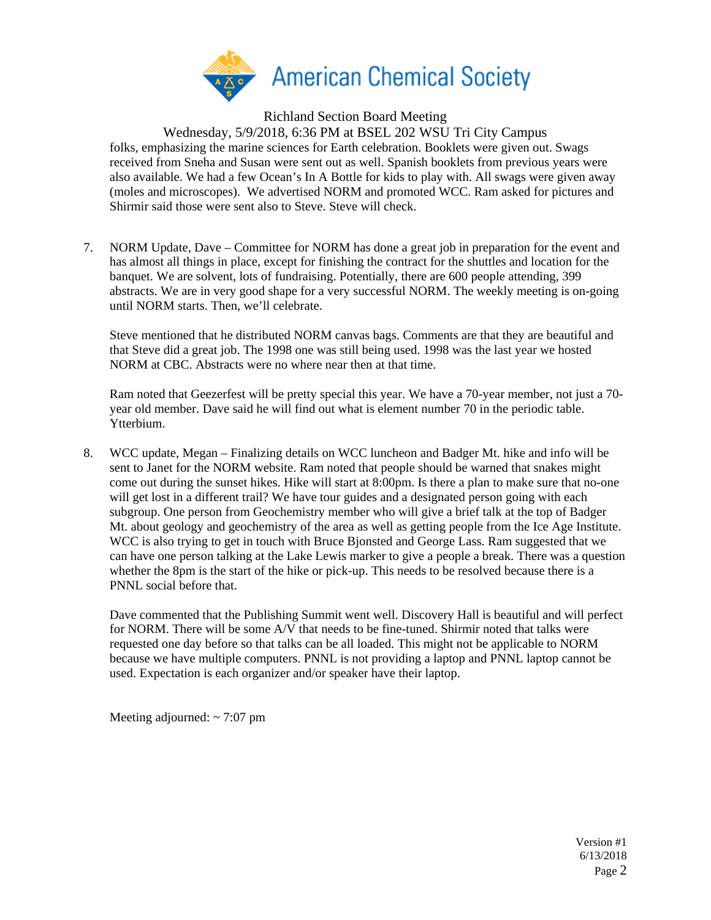

Richland Section Board Meeting

Wednesday, 5/9/2018, 6:36 PM at BSEL 202 WSU Tri City Campus

folks, emphasizing the marine sciences for Earth celebration. Booklets were given out. Swags received from Sneha and Susan were sent out as well. Spanish booklets from previous years were also available. We had a few Ocean's In A Bottle for kids to play with. All swags were given away (moles and microscopes). We advertised NORM and promoted WCC. Ram asked for pictures and Shirmir said those were sent also to Steve. Steve will check.

7. NORM Update, Dave – Committee for NORM has done a great job in preparation for the event and has almost all things in place, except for finishing the contract for the shuttles and location for the banquet. We are solvent, lots of fundraising. Potentially, there are 600 people attending, 399 abstracts. We are in very good shape for a very successful NORM. The weekly meeting is on-going until NORM starts. Then, we'll celebrate.

Steve mentioned that he distributed NORM canvas bags. Comments are that they are beautiful and that Steve did a great job. The 1998 one was still being used. 1998 was the last year we hosted NORM at CBC. Abstracts were no where near then at that time.

Ram noted that Geezerfest will be pretty special this year. We have a 70-year member, not just a 70 year old member. Dave said he will find out what is element number 70 in the periodic table. Ytterbium.

8. WCC update, Megan – Finalizing details on WCC luncheon and Badger Mt. hike and info will be sent to Janet for the NORM website. Ram noted that people should be warned that snakes might come out during the sunset hikes. Hike will start at 8:00pm. Is there a plan to make sure that no-one will get lost in a different trail? We have tour guides and a designated person going with each subgroup. One person from Geochemistry member who will give a brief talk at the top of Badger Mt. about geology and geochemistry of the area as well as getting people from the Ice Age Institute. WCC is also trying to get in touch with Bruce Bjonsted and George Lass. Ram suggested that we can have one person talking at the Lake Lewis marker to give a people a break. There was a question whether the 8pm is the start of the hike or pick-up. This needs to be resolved because there is a PNNL social before that.

Dave commented that the Publishing Summit went well. Discovery Hall is beautiful and will perfect for NORM. There will be some A/V that needs to be fine-tuned. Shirmir noted that talks were requested one day before so that talks can be all loaded. This might not be applicable to NORM because we have multiple computers. PNNL is not providing a laptop and PNNL laptop cannot be used. Expectation is each organizer and/or speaker have their laptop.

Meeting adjourned:  $\sim$  7:07 pm